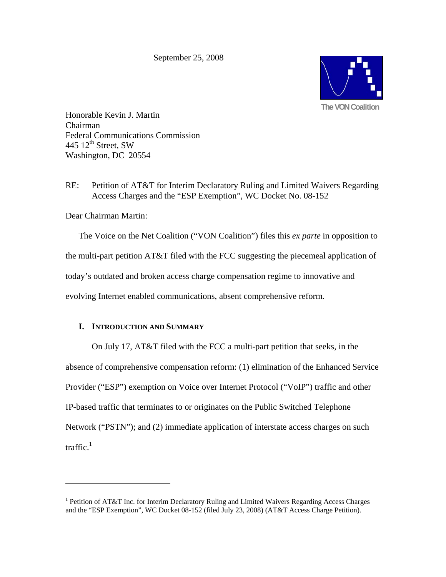September 25, 2008



Honorable Kevin J. Martin Chairman Federal Communications Commission 445  $12^{\text{th}}$  Street, SW Washington, DC 20554

RE: Petition of AT&T for Interim Declaratory Ruling and Limited Waivers Regarding Access Charges and the "ESP Exemption", WC Docket No. 08-152

Dear Chairman Martin:

 $\overline{a}$ 

The Voice on the Net Coalition ("VON Coalition") files this *ex parte* in opposition to the multi-part petition AT&T filed with the FCC suggesting the piecemeal application of today's outdated and broken access charge compensation regime to innovative and evolving Internet enabled communications, absent comprehensive reform.

## **I. INTRODUCTION AND SUMMARY**

 On July 17, AT&T filed with the FCC a multi-part petition that seeks, in the absence of comprehensive compensation reform: (1) elimination of the Enhanced Service Provider ("ESP") exemption on Voice over Internet Protocol ("VoIP") traffic and other IP-based traffic that terminates to or originates on the Public Switched Telephone Network ("PSTN"); and (2) immediate application of interstate access charges on such traffic. $1$ 

<sup>&</sup>lt;sup>1</sup> Petition of AT&T Inc. for Interim Declaratory Ruling and Limited Waivers Regarding Access Charges and the "ESP Exemption", WC Docket 08-152 (filed July 23, 2008) (AT&T Access Charge Petition).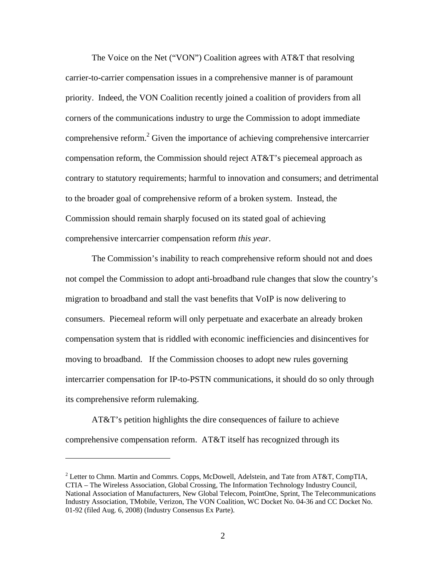The Voice on the Net ("VON") Coalition agrees with AT&T that resolving carrier-to-carrier compensation issues in a comprehensive manner is of paramount priority. Indeed, the VON Coalition recently joined a coalition of providers from all corners of the communications industry to urge the Commission to adopt immediate comprehensive reform. $2$  Given the importance of achieving comprehensive intercarrier compensation reform, the Commission should reject AT&T's piecemeal approach as contrary to statutory requirements; harmful to innovation and consumers; and detrimental to the broader goal of comprehensive reform of a broken system. Instead, the Commission should remain sharply focused on its stated goal of achieving comprehensive intercarrier compensation reform *this year*.

The Commission's inability to reach comprehensive reform should not and does not compel the Commission to adopt anti-broadband rule changes that slow the country's migration to broadband and stall the vast benefits that VoIP is now delivering to consumers. Piecemeal reform will only perpetuate and exacerbate an already broken compensation system that is riddled with economic inefficiencies and disincentives for moving to broadband. If the Commission chooses to adopt new rules governing intercarrier compensation for IP-to-PSTN communications, it should do so only through its comprehensive reform rulemaking.

 AT&T's petition highlights the dire consequences of failure to achieve comprehensive compensation reform. AT&T itself has recognized through its

<sup>&</sup>lt;sup>2</sup> Letter to Chmn. Martin and Commrs. Copps, McDowell, Adelstein, and Tate from AT&T, CompTIA, CTIA – The Wireless Association, Global Crossing, The Information Technology Industry Council, National Association of Manufacturers, New Global Telecom, PointOne, Sprint, The Telecommunications Industry Association, TMobile, Verizon, The VON Coalition, WC Docket No. 04-36 and CC Docket No. 01-92 (filed Aug. 6, 2008) (Industry Consensus Ex Parte).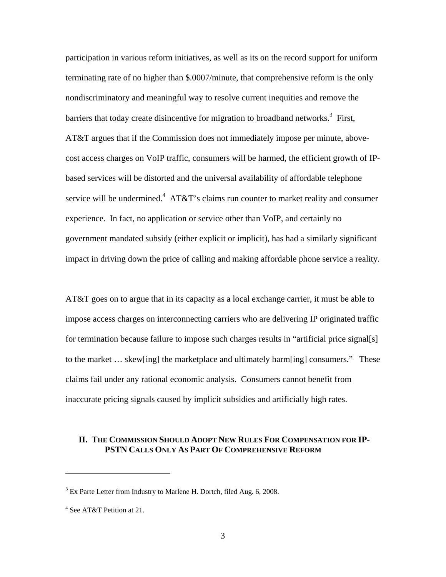participation in various reform initiatives, as well as its on the record support for uniform terminating rate of no higher than \$.0007/minute, that comprehensive reform is the only nondiscriminatory and meaningful way to resolve current inequities and remove the barriers that today create disincentive for migration to broadband networks.<sup>3</sup> First, AT&T argues that if the Commission does not immediately impose per minute, abovecost access charges on VoIP traffic, consumers will be harmed, the efficient growth of IPbased services will be distorted and the universal availability of affordable telephone service will be undermined.<sup>4</sup> AT&T's claims run counter to market reality and consumer experience. In fact, no application or service other than VoIP, and certainly no government mandated subsidy (either explicit or implicit), has had a similarly significant impact in driving down the price of calling and making affordable phone service a reality.

AT&T goes on to argue that in its capacity as a local exchange carrier, it must be able to impose access charges on interconnecting carriers who are delivering IP originated traffic for termination because failure to impose such charges results in "artificial price signal[s] to the market … skew[ing] the marketplace and ultimately harm[ing] consumers." These claims fail under any rational economic analysis. Consumers cannot benefit from inaccurate pricing signals caused by implicit subsidies and artificially high rates.

#### **II. THE COMMISSION SHOULD ADOPT NEW RULES FOR COMPENSATION FOR IP-PSTN CALLS ONLY AS PART OF COMPREHENSIVE REFORM**

<u>.</u>

 $3$  Ex Parte Letter from Industry to Marlene H. Dortch, filed Aug. 6, 2008.

<sup>4</sup> See AT&T Petition at 21.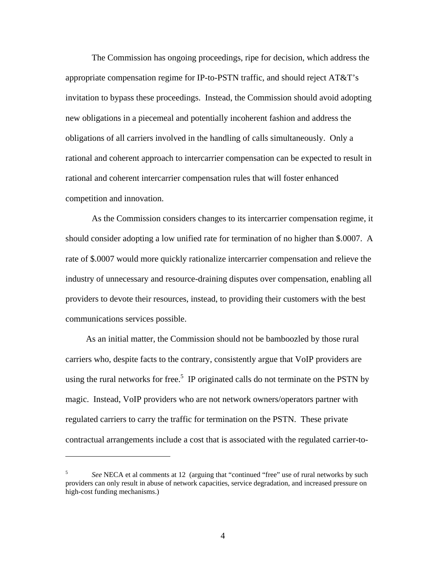The Commission has ongoing proceedings, ripe for decision, which address the appropriate compensation regime for IP-to-PSTN traffic, and should reject AT&T's invitation to bypass these proceedings. Instead, the Commission should avoid adopting new obligations in a piecemeal and potentially incoherent fashion and address the obligations of all carriers involved in the handling of calls simultaneously. Only a rational and coherent approach to intercarrier compensation can be expected to result in rational and coherent intercarrier compensation rules that will foster enhanced competition and innovation.

As the Commission considers changes to its intercarrier compensation regime, it should consider adopting a low unified rate for termination of no higher than \$.0007. A rate of \$.0007 would more quickly rationalize intercarrier compensation and relieve the industry of unnecessary and resource-draining disputes over compensation, enabling all providers to devote their resources, instead, to providing their customers with the best communications services possible.

 As an initial matter, the Commission should not be bamboozled by those rural carriers who, despite facts to the contrary, consistently argue that VoIP providers are using the rural networks for free.<sup>5</sup> IP originated calls do not terminate on the PSTN by magic. Instead, VoIP providers who are not network owners/operators partner with regulated carriers to carry the traffic for termination on the PSTN. These private contractual arrangements include a cost that is associated with the regulated carrier-to-

<sup>5</sup> *See* NECA et al comments at 12 (arguing that "continued "free" use of rural networks by such providers can only result in abuse of network capacities, service degradation, and increased pressure on high-cost funding mechanisms.)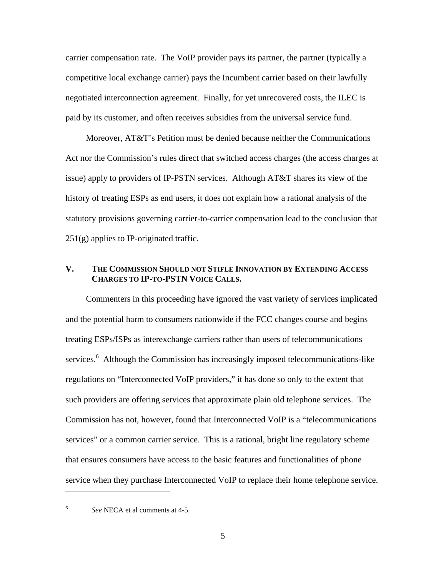carrier compensation rate. The VoIP provider pays its partner, the partner (typically a competitive local exchange carrier) pays the Incumbent carrier based on their lawfully negotiated interconnection agreement. Finally, for yet unrecovered costs, the ILEC is paid by its customer, and often receives subsidies from the universal service fund.

 Moreover, AT&T's Petition must be denied because neither the Communications Act nor the Commission's rules direct that switched access charges (the access charges at issue) apply to providers of IP-PSTN services. Although AT&T shares its view of the history of treating ESPs as end users, it does not explain how a rational analysis of the statutory provisions governing carrier-to-carrier compensation lead to the conclusion that 251(g) applies to IP-originated traffic.

## **V. THE COMMISSION SHOULD NOT STIFLE INNOVATION BY EXTENDING ACCESS CHARGES TO IP-TO-PSTN VOICE CALLS.**

 Commenters in this proceeding have ignored the vast variety of services implicated and the potential harm to consumers nationwide if the FCC changes course and begins treating ESPs/ISPs as interexchange carriers rather than users of telecommunications services.<sup>6</sup> Although the Commission has increasingly imposed telecommunications-like regulations on "Interconnected VoIP providers," it has done so only to the extent that such providers are offering services that approximate plain old telephone services. The Commission has not, however, found that Interconnected VoIP is a "telecommunications services" or a common carrier service. This is a rational, bright line regulatory scheme that ensures consumers have access to the basic features and functionalities of phone service when they purchase Interconnected VoIP to replace their home telephone service.

6

<u>.</u>

*See* NECA et al comments at 4-5.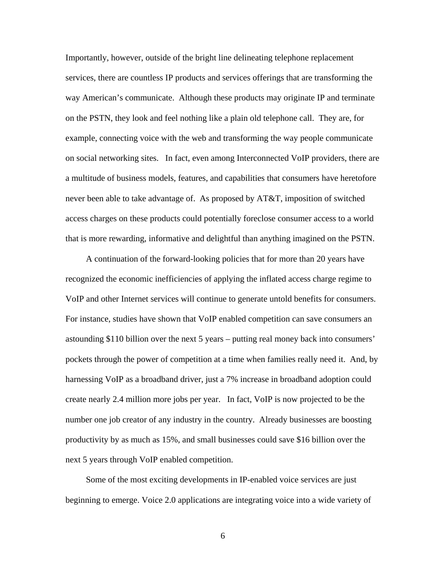Importantly, however, outside of the bright line delineating telephone replacement services, there are countless IP products and services offerings that are transforming the way American's communicate. Although these products may originate IP and terminate on the PSTN, they look and feel nothing like a plain old telephone call. They are, for example, connecting voice with the web and transforming the way people communicate on social networking sites. In fact, even among Interconnected VoIP providers, there are a multitude of business models, features, and capabilities that consumers have heretofore never been able to take advantage of. As proposed by AT&T, imposition of switched access charges on these products could potentially foreclose consumer access to a world that is more rewarding, informative and delightful than anything imagined on the PSTN.

 A continuation of the forward-looking policies that for more than 20 years have recognized the economic inefficiencies of applying the inflated access charge regime to VoIP and other Internet services will continue to generate untold benefits for consumers. For instance, studies have shown that VoIP enabled competition can save consumers an astounding \$110 billion over the next 5 years – putting real money back into consumers' pockets through the power of competition at a time when families really need it. And, by harnessing VoIP as a broadband driver, just a 7% increase in broadband adoption could create nearly 2.4 million more jobs per year. In fact, VoIP is now projected to be the number one job creator of any industry in the country. Already businesses are boosting productivity by as much as 15%, and small businesses could save \$16 billion over the next 5 years through VoIP enabled competition.

 Some of the most exciting developments in IP-enabled voice services are just beginning to emerge. Voice 2.0 applications are integrating voice into a wide variety of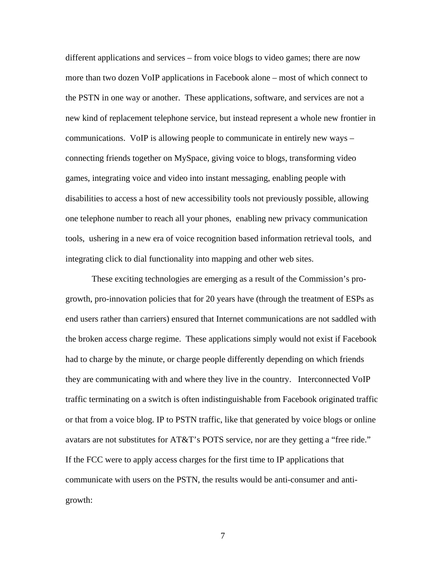different applications and services – from voice blogs to video games; there are now more than two dozen VoIP applications in Facebook alone – most of which connect to the PSTN in one way or another. These applications, software, and services are not a new kind of replacement telephone service, but instead represent a whole new frontier in communications. VoIP is allowing people to communicate in entirely new ways – connecting friends together on MySpace, giving voice to blogs, transforming video games, integrating voice and video into instant messaging, enabling people with disabilities to access a host of new accessibility tools not previously possible, allowing one telephone number to reach all your phones, enabling new privacy communication tools, ushering in a new era of voice recognition based information retrieval tools, and integrating click to dial functionality into mapping and other web sites.

These exciting technologies are emerging as a result of the Commission's progrowth, pro-innovation policies that for 20 years have (through the treatment of ESPs as end users rather than carriers) ensured that Internet communications are not saddled with the broken access charge regime. These applications simply would not exist if Facebook had to charge by the minute, or charge people differently depending on which friends they are communicating with and where they live in the country. Interconnected VoIP traffic terminating on a switch is often indistinguishable from Facebook originated traffic or that from a voice blog. IP to PSTN traffic, like that generated by voice blogs or online avatars are not substitutes for AT&T's POTS service, nor are they getting a "free ride." If the FCC were to apply access charges for the first time to IP applications that communicate with users on the PSTN, the results would be anti-consumer and antigrowth: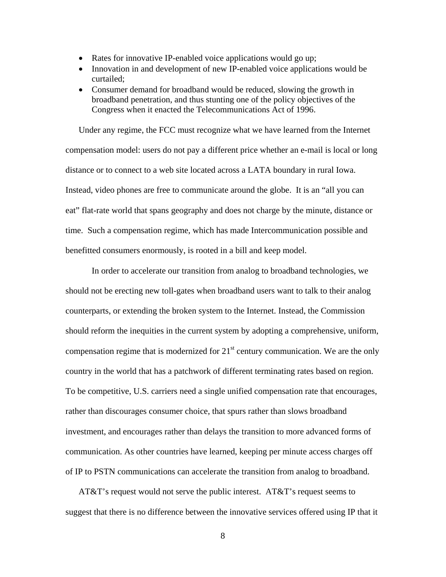- Rates for innovative IP-enabled voice applications would go up;
- Innovation in and development of new IP-enabled voice applications would be curtailed;
- Consumer demand for broadband would be reduced, slowing the growth in broadband penetration, and thus stunting one of the policy objectives of the Congress when it enacted the Telecommunications Act of 1996.

Under any regime, the FCC must recognize what we have learned from the Internet compensation model: users do not pay a different price whether an e-mail is local or long distance or to connect to a web site located across a LATA boundary in rural Iowa. Instead, video phones are free to communicate around the globe. It is an "all you can eat" flat-rate world that spans geography and does not charge by the minute, distance or time. Such a compensation regime, which has made Intercommunication possible and benefitted consumers enormously, is rooted in a bill and keep model.

In order to accelerate our transition from analog to broadband technologies, we should not be erecting new toll-gates when broadband users want to talk to their analog counterparts, or extending the broken system to the Internet. Instead, the Commission should reform the inequities in the current system by adopting a comprehensive, uniform, compensation regime that is modernized for  $21<sup>st</sup>$  century communication. We are the only country in the world that has a patchwork of different terminating rates based on region. To be competitive, U.S. carriers need a single unified compensation rate that encourages, rather than discourages consumer choice, that spurs rather than slows broadband investment, and encourages rather than delays the transition to more advanced forms of communication. As other countries have learned, keeping per minute access charges off of IP to PSTN communications can accelerate the transition from analog to broadband.

AT&T's request would not serve the public interest. AT&T's request seems to suggest that there is no difference between the innovative services offered using IP that it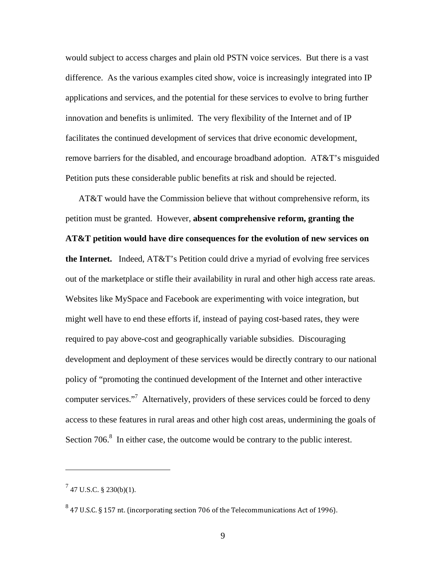would subject to access charges and plain old PSTN voice services. But there is a vast difference. As the various examples cited show, voice is increasingly integrated into IP applications and services, and the potential for these services to evolve to bring further innovation and benefits is unlimited. The very flexibility of the Internet and of IP facilitates the continued development of services that drive economic development, remove barriers for the disabled, and encourage broadband adoption. AT&T's misguided Petition puts these considerable public benefits at risk and should be rejected.

AT&T would have the Commission believe that without comprehensive reform, its petition must be granted. However, **absent comprehensive reform, granting the AT&T petition would have dire consequences for the evolution of new services on the Internet.** Indeed, AT&T's Petition could drive a myriad of evolving free services out of the marketplace or stifle their availability in rural and other high access rate areas. Websites like MySpace and Facebook are experimenting with voice integration, but might well have to end these efforts if, instead of paying cost-based rates, they were required to pay above-cost and geographically variable subsidies. Discouraging development and deployment of these services would be directly contrary to our national policy of "promoting the continued development of the Internet and other interactive computer services."<sup>7</sup> Alternatively, providers of these services could be forced to deny access to these features in rural areas and other high cost areas, undermining the goals of Section  $706$ <sup>8</sup>. In either case, the outcome would be contrary to the public interest.

 $^{7}$  47 U.S.C. § 230(b)(1).

<sup>8</sup> 47 U.S.C. § 157 nt. (incorporating section 706 of the Telecommunications Act of 1996).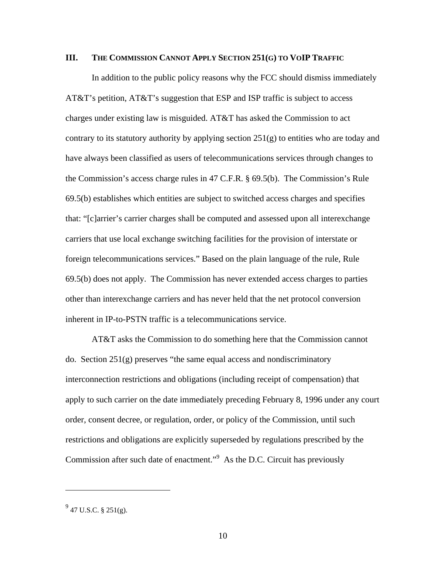#### **III. THE COMMISSION CANNOT APPLY SECTION 251(G) TO VOIP TRAFFIC**

In addition to the public policy reasons why the FCC should dismiss immediately AT&T's petition, AT&T's suggestion that ESP and ISP traffic is subject to access charges under existing law is misguided. AT&T has asked the Commission to act contrary to its statutory authority by applying section  $251(g)$  to entities who are today and have always been classified as users of telecommunications services through changes to the Commission's access charge rules in 47 C.F.R. § 69.5(b). The Commission's Rule 69.5(b) establishes which entities are subject to switched access charges and specifies that: "[c]arrier's carrier charges shall be computed and assessed upon all interexchange carriers that use local exchange switching facilities for the provision of interstate or foreign telecommunications services." Based on the plain language of the rule, Rule 69.5(b) does not apply. The Commission has never extended access charges to parties other than interexchange carriers and has never held that the net protocol conversion inherent in IP-to-PSTN traffic is a telecommunications service.

AT&T asks the Commission to do something here that the Commission cannot do. Section 251(g) preserves "the same equal access and nondiscriminatory interconnection restrictions and obligations (including receipt of compensation) that apply to such carrier on the date immediately preceding February 8, 1996 under any court order, consent decree, or regulation, order, or policy of the Commission, until such restrictions and obligations are explicitly superseded by regulations prescribed by the Commission after such date of enactment."<sup>9</sup> As the D.C. Circuit has previously

<u>.</u>

 $^{9}$  47 U.S.C. § 251(g).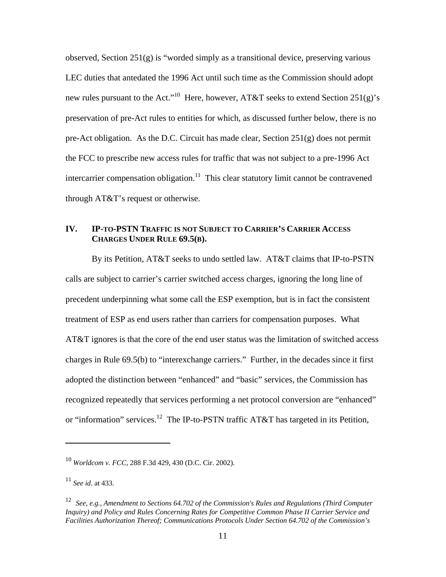observed, Section  $251(g)$  is "worded simply as a transitional device, preserving various LEC duties that antedated the 1996 Act until such time as the Commission should adopt new rules pursuant to the Act."<sup>10</sup> Here, however, AT&T seeks to extend Section 251(g)'s preservation of pre-Act rules to entities for which, as discussed further below, there is no pre-Act obligation. As the D.C. Circuit has made clear, Section  $251(g)$  does not permit the FCC to prescribe new access rules for traffic that was not subject to a pre-1996 Act intercarrier compensation obligation.<sup>11</sup> This clear statutory limit cannot be contravened through AT&T's request or otherwise.

## **IV. IP-TO-PSTN TRAFFIC IS NOT SUBJECT TO CARRIER'S CARRIER ACCESS CHARGES UNDER RULE 69.5(B).**

 By its Petition, AT&T seeks to undo settled law. AT&T claims that IP-to-PSTN calls are subject to carrier's carrier switched access charges, ignoring the long line of precedent underpinning what some call the ESP exemption, but is in fact the consistent treatment of ESP as end users rather than carriers for compensation purposes. What AT&T ignores is that the core of the end user status was the limitation of switched access charges in Rule 69.5(b) to "interexchange carriers." Further, in the decades since it first adopted the distinction between "enhanced" and "basic" services, the Commission has recognized repeatedly that services performing a net protocol conversion are "enhanced" or "information" services.<sup>12</sup> The IP-to-PSTN traffic AT&T has targeted in its Petition,

<sup>10</sup> *Worldcom v. FCC*, 288 F.3d 429, 430 (D.C. Cir. 2002).

<sup>11</sup> *See id*. at 433.

<sup>12</sup> *See, e.g., Amendment to Sections 64.702 of the Commission's Rules and Regulations (Third Computer Inquiry) and Policy and Rules Concerning Rates for Competitive Common Phase II Carrier Service and Facilities Authorization Thereof; Communications Protocols Under Section 64.702 of the Commission's*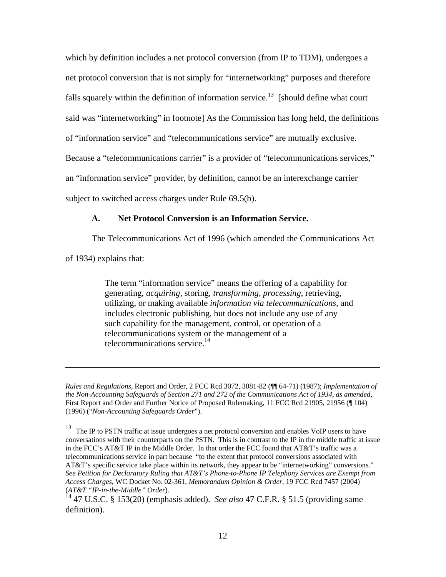which by definition includes a net protocol conversion (from IP to TDM), undergoes a net protocol conversion that is not simply for "internetworking" purposes and therefore falls squarely within the definition of information service.<sup>13</sup> [should define what court said was "internetworking" in footnote] As the Commission has long held, the definitions of "information service" and "telecommunications service" are mutually exclusive. Because a "telecommunications carrier" is a provider of "telecommunications services," an "information service" provider, by definition, cannot be an interexchange carrier subject to switched access charges under Rule 69.5(b).

#### **A. Net Protocol Conversion is an Information Service.**

The Telecommunications Act of 1996 (which amended the Communications Act

of 1934) explains that:

 $\overline{a}$ 

The term "information service" means the offering of a capability for generating, *acquiring*, storing, *transforming, processing*, retrieving, utilizing, or making available *information via telecommunications*, and includes electronic publishing, but does not include any use of any such capability for the management, control, or operation of a telecommunications system or the management of a telecommunications service.14

*Rules and Regulations,* Report and Order, 2 FCC Rcd 3072, 3081-82 (¶¶ 64-71) (1987); *Implementation of the Non-Accounting Safeguards of Section 271 and 272 of the Communications Act of 1934, as amended*, First Report and Order and Further Notice of Proposed Rulemaking, 11 FCC Rcd 21905, 21956 (¶ 104) (1996) ("*Non-Accounting Safeguards Order*").

<sup>&</sup>lt;sup>13</sup> The IP to PSTN traffic at issue undergoes a net protocol conversion and enables VoIP users to have conversations with their counterparts on the PSTN. This is in contrast to the IP in the middle traffic at issue in the FCC's AT&T IP in the Middle Order. In that order the FCC found that AT&T's traffic was a telecommunications service in part because "to the extent that protocol conversions associated with AT&T's specific service take place within its network, they appear to be "internetworking" conversions." *See Petition for Declaratory Ruling that AT&T's Phone-to-Phone IP Telephony Services are Exempt from Access Charges*, WC Docket No. 02-361, *Memorandum Opinion & Order*, 19 FCC Rcd 7457 (2004) (*AT&T "IP-in-the-Middle" Order*).

<sup>14 47</sup> U.S.C. § 153(20) (emphasis added). *See also* 47 C.F.R. § 51.5 (providing same definition).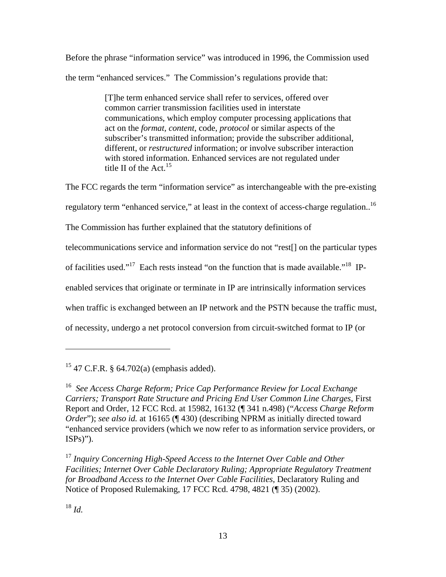Before the phrase "information service" was introduced in 1996, the Commission used the term "enhanced services." The Commission's regulations provide that:

> [T]he term enhanced service shall refer to services, offered over common carrier transmission facilities used in interstate communications, which employ computer processing applications that act on the *format, content*, code, *protocol* or similar aspects of the subscriber's transmitted information; provide the subscriber additional, different, or *restructured* information; or involve subscriber interaction with stored information. Enhanced services are not regulated under title II of the  $Act.<sup>15</sup>$

The FCC regards the term "information service" as interchangeable with the pre-existing regulatory term "enhanced service," at least in the context of access-charge regulation..<sup>16</sup> The Commission has further explained that the statutory definitions of telecommunications service and information service do not "rest[] on the particular types of facilities used."<sup>17</sup> Each rests instead "on the function that is made available."<sup>18</sup> IPenabled services that originate or terminate in IP are intrinsically information services when traffic is exchanged between an IP network and the PSTN because the traffic must, of necessity, undergo a net protocol conversion from circuit-switched format to IP (or

<sup>18</sup> *Id.* 

 $15$  47 C.F.R. § 64.702(a) (emphasis added).

<sup>16</sup> *See Access Charge Reform; Price Cap Performance Review for Local Exchange Carriers; Transport Rate Structure and Pricing End User Common Line Charges*, First Report and Order, 12 FCC Rcd. at 15982, 16132 (¶ 341 n.498) ("*Access Charge Reform Order*"); *see also id.* at 16165 (¶ 430) (describing NPRM as initially directed toward "enhanced service providers (which we now refer to as information service providers, or  $ISPs)$ ").

<sup>17</sup> *Inquiry Concerning High-Speed Access to the Internet Over Cable and Other Facilities; Internet Over Cable Declaratory Ruling; Appropriate Regulatory Treatment for Broadband Access to the Internet Over Cable Facilities*, Declaratory Ruling and Notice of Proposed Rulemaking, 17 FCC Rcd. 4798, 4821 (¶ 35) (2002).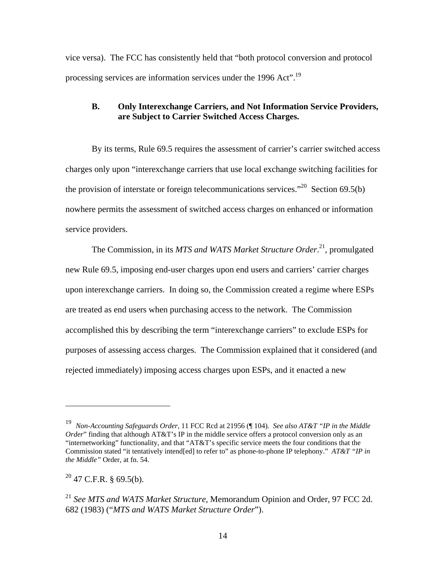vice versa). The FCC has consistently held that "both protocol conversion and protocol processing services are information services under the 1996 Act".19

## **B. Only Interexchange Carriers, and Not Information Service Providers, are Subject to Carrier Switched Access Charges.**

By its terms, Rule 69.5 requires the assessment of carrier's carrier switched access charges only upon "interexchange carriers that use local exchange switching facilities for the provision of interstate or foreign telecommunications services."<sup>20</sup> Section 69.5(b) nowhere permits the assessment of switched access charges on enhanced or information service providers.

The Commission, in its *MTS and WATS Market Structure Order*. <sup>21</sup>*,* promulgated new Rule 69.5, imposing end-user charges upon end users and carriers' carrier charges upon interexchange carriers. In doing so, the Commission created a regime where ESPs are treated as end users when purchasing access to the network. The Commission accomplished this by describing the term "interexchange carriers" to exclude ESPs for purposes of assessing access charges. The Commission explained that it considered (and rejected immediately) imposing access charges upon ESPs, and it enacted a new

 $20$  47 C.F.R. § 69.5(b).

<sup>19</sup> *Non-Accounting Safeguards Order*, 11 FCC Rcd at 21956 (¶ 104)*. See also AT&T "IP in the Middle Order*" finding that although AT&T's IP in the middle service offers a protocol conversion only as an "internetworking" functionality, and that "AT&T's specific service meets the four conditions that the Commission stated "it tentatively intend[ed] to refer to" as phone-to-phone IP telephony." *AT&T "IP in the Middle"* Order*,* at fn. 54.

<sup>21</sup> *See MTS and WATS Market Structure*, Memorandum Opinion and Order, 97 FCC 2d. 682 (1983) ("*MTS and WATS Market Structure Order*").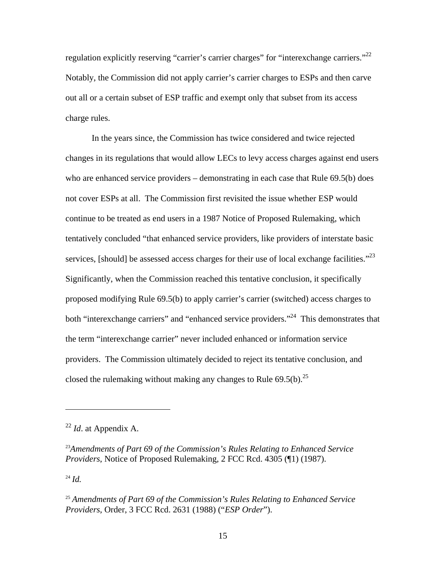regulation explicitly reserving "carrier's carrier charges" for "interexchange carriers."<sup>22</sup> Notably, the Commission did not apply carrier's carrier charges to ESPs and then carve out all or a certain subset of ESP traffic and exempt only that subset from its access charge rules.

In the years since, the Commission has twice considered and twice rejected changes in its regulations that would allow LECs to levy access charges against end users who are enhanced service providers – demonstrating in each case that Rule 69.5(b) does not cover ESPs at all. The Commission first revisited the issue whether ESP would continue to be treated as end users in a 1987 Notice of Proposed Rulemaking, which tentatively concluded "that enhanced service providers, like providers of interstate basic services, [should] be assessed access charges for their use of local exchange facilities."<sup>23</sup> Significantly, when the Commission reached this tentative conclusion, it specifically proposed modifying Rule 69.5(b) to apply carrier's carrier (switched) access charges to both "interexchange carriers" and "enhanced service providers."<sup>24</sup> This demonstrates that the term "interexchange carrier" never included enhanced or information service providers. The Commission ultimately decided to reject its tentative conclusion, and closed the rulemaking without making any changes to Rule  $69.5(b)$ <sup>25</sup>

<sup>24</sup> *Id.*

<sup>22</sup> *Id*. at Appendix A.

<sup>23</sup>*Amendments of Part 69 of the Commission's Rules Relating to Enhanced Service Providers*, Notice of Proposed Rulemaking, 2 FCC Rcd. 4305 (¶1) (1987).

<sup>25</sup> *Amendments of Part 69 of the Commission's Rules Relating to Enhanced Service Providers*, Order, 3 FCC Rcd. 2631 (1988) ("*ESP Order*").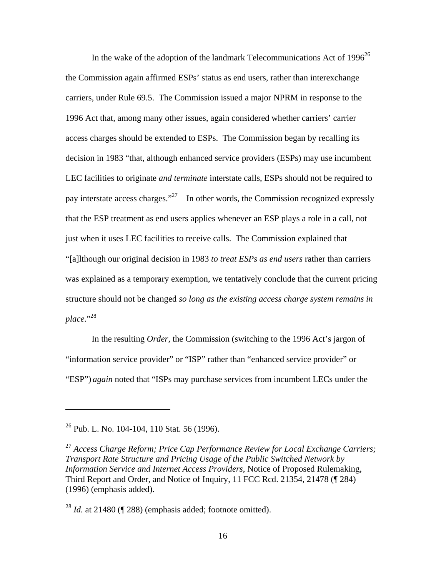In the wake of the adoption of the landmark Telecommunications Act of  $1996^{26}$ the Commission again affirmed ESPs' status as end users, rather than interexchange carriers, under Rule 69.5. The Commission issued a major NPRM in response to the 1996 Act that, among many other issues, again considered whether carriers' carrier access charges should be extended to ESPs. The Commission began by recalling its decision in 1983 "that, although enhanced service providers (ESPs) may use incumbent LEC facilities to originate *and terminate* interstate calls, ESPs should not be required to pay interstate access charges."<sup>27</sup> In other words, the Commission recognized expressly that the ESP treatment as end users applies whenever an ESP plays a role in a call, not just when it uses LEC facilities to receive calls. The Commission explained that "[a]lthough our original decision in 1983 *to treat ESPs as end users* rather than carriers was explained as a temporary exemption, we tentatively conclude that the current pricing structure should not be changed *so long as the existing access charge system remains in*  place."<sup>28</sup>

In the resulting *Order*, the Commission (switching to the 1996 Act's jargon of "information service provider" or "ISP" rather than "enhanced service provider" or "ESP") *again* noted that "ISPs may purchase services from incumbent LECs under the

 $26$  Pub. L. No. 104-104, 110 Stat. 56 (1996).

1

<sup>27</sup> *Access Charge Reform; Price Cap Performance Review for Local Exchange Carriers; Transport Rate Structure and Pricing Usage of the Public Switched Network by Information Service and Internet Access Providers*, Notice of Proposed Rulemaking, Third Report and Order, and Notice of Inquiry, 11 FCC Rcd. 21354, 21478 (¶ 284) (1996) (emphasis added).

<sup>28</sup> *Id.* at 21480 (¶ 288) (emphasis added; footnote omitted).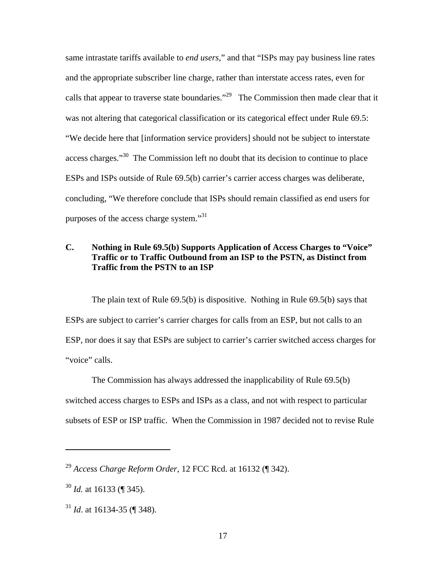same intrastate tariffs available to *end users*," and that "ISPs may pay business line rates and the appropriate subscriber line charge, rather than interstate access rates, even for calls that appear to traverse state boundaries."<sup>29</sup> The Commission then made clear that it was not altering that categorical classification or its categorical effect under Rule 69.5: "We decide here that [information service providers] should not be subject to interstate access charges."<sup>30</sup> The Commission left no doubt that its decision to continue to place ESPs and ISPs outside of Rule 69.5(b) carrier's carrier access charges was deliberate, concluding, "We therefore conclude that ISPs should remain classified as end users for purposes of the access charge system."<sup>31</sup>

# **C. Nothing in Rule 69.5(b) Supports Application of Access Charges to "Voice" Traffic or to Traffic Outbound from an ISP to the PSTN, as Distinct from Traffic from the PSTN to an ISP**

The plain text of Rule 69.5(b) is dispositive. Nothing in Rule 69.5(b) says that ESPs are subject to carrier's carrier charges for calls from an ESP, but not calls to an ESP, nor does it say that ESPs are subject to carrier's carrier switched access charges for "voice" calls.

The Commission has always addressed the inapplicability of Rule 69.5(b) switched access charges to ESPs and ISPs as a class, and not with respect to particular subsets of ESP or ISP traffic. When the Commission in 1987 decided not to revise Rule

<sup>29</sup> *Access Charge Reform Order*, 12 FCC Rcd. at 16132 (¶ 342).

<sup>30</sup> *Id.* at 16133 (¶ 345).

<sup>31</sup> *Id*. at 16134-35 (¶ 348).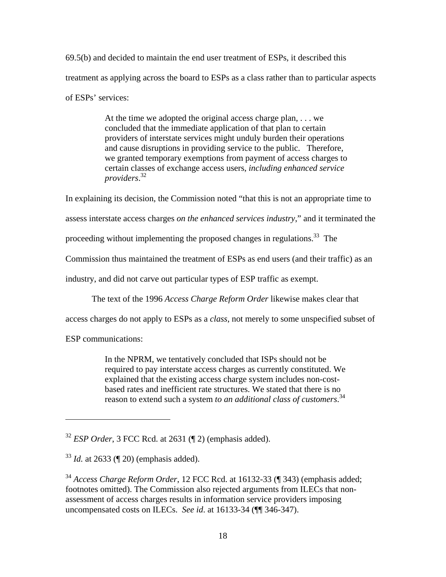69.5(b) and decided to maintain the end user treatment of ESPs, it described this treatment as applying across the board to ESPs as a class rather than to particular aspects of ESPs' services:

> At the time we adopted the original access charge plan, . . . we concluded that the immediate application of that plan to certain providers of interstate services might unduly burden their operations and cause disruptions in providing service to the public. Therefore, we granted temporary exemptions from payment of access charges to certain classes of exchange access users, *including enhanced service providers*. 32

In explaining its decision, the Commission noted "that this is not an appropriate time to

assess interstate access charges *on the enhanced services industry*," and it terminated the

proceeding without implementing the proposed changes in regulations.<sup>33</sup> The

Commission thus maintained the treatment of ESPs as end users (and their traffic) as an

industry, and did not carve out particular types of ESP traffic as exempt.

The text of the 1996 *Access Charge Reform Order* likewise makes clear that

access charges do not apply to ESPs as a *class*, not merely to some unspecified subset of

ESP communications:

 $\overline{a}$ 

In the NPRM, we tentatively concluded that ISPs should not be required to pay interstate access charges as currently constituted. We explained that the existing access charge system includes non-costbased rates and inefficient rate structures. We stated that there is no reason to extend such a system *to an additional class of customers*. 34

<sup>32</sup> *ESP Order*, 3 FCC Rcd. at 2631 (¶ 2) (emphasis added).

 $33$  *Id.* at 2633 (¶ 20) (emphasis added).

<sup>34</sup> *Access Charge Reform Order*, 12 FCC Rcd. at 16132-33 (¶ 343) (emphasis added; footnotes omitted). The Commission also rejected arguments from ILECs that nonassessment of access charges results in information service providers imposing uncompensated costs on ILECs. *See id*. at 16133-34 (¶¶ 346-347).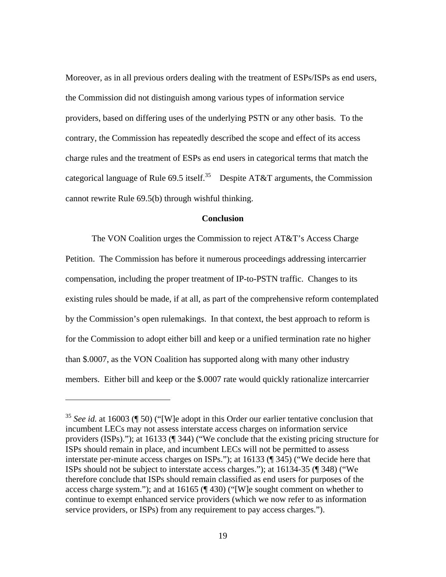Moreover, as in all previous orders dealing with the treatment of ESPs/ISPs as end users, the Commission did not distinguish among various types of information service providers, based on differing uses of the underlying PSTN or any other basis. To the contrary, the Commission has repeatedly described the scope and effect of its access charge rules and the treatment of ESPs as end users in categorical terms that match the categorical language of Rule 69.5 itself.<sup>35</sup> Despite AT&T arguments, the Commission cannot rewrite Rule 69.5(b) through wishful thinking.

#### **Conclusion**

 The VON Coalition urges the Commission to reject AT&T's Access Charge Petition. The Commission has before it numerous proceedings addressing intercarrier compensation, including the proper treatment of IP-to-PSTN traffic. Changes to its existing rules should be made, if at all, as part of the comprehensive reform contemplated by the Commission's open rulemakings. In that context, the best approach to reform is for the Commission to adopt either bill and keep or a unified termination rate no higher than \$.0007, as the VON Coalition has supported along with many other industry members. Either bill and keep or the \$.0007 rate would quickly rationalize intercarrier

<sup>&</sup>lt;sup>35</sup> *See id.* at 16003 (¶ 50) ("[W]e adopt in this Order our earlier tentative conclusion that incumbent LECs may not assess interstate access charges on information service providers (ISPs)."); at 16133 (¶ 344) ("We conclude that the existing pricing structure for ISPs should remain in place, and incumbent LECs will not be permitted to assess interstate per-minute access charges on ISPs."); at 16133 (¶ 345) ("We decide here that ISPs should not be subject to interstate access charges."); at 16134-35 (¶ 348) ("We therefore conclude that ISPs should remain classified as end users for purposes of the access charge system."); and at 16165 (¶ 430) ("[W]e sought comment on whether to continue to exempt enhanced service providers (which we now refer to as information service providers, or ISPs) from any requirement to pay access charges.").